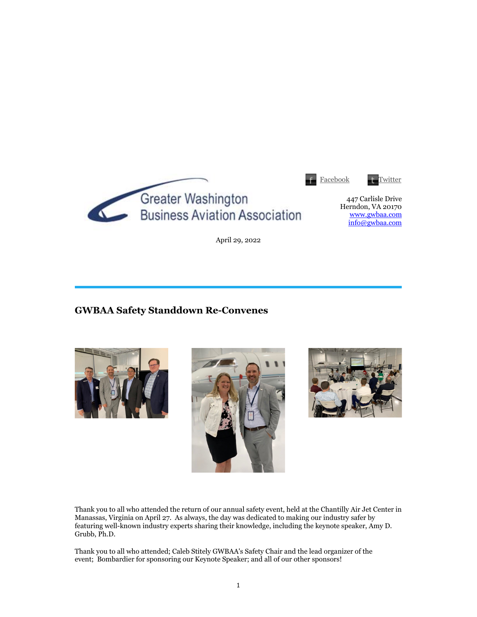

April 29, 2022

# **GWBAA Safety Standdown Re-Convenes**







Thank you to all who attended the return of our annual safety event, held at the Chantilly Air Jet Center in Manassas, Virginia on April 27. As always, the day was dedicated to making our industry safer by featuring well-known industry experts sharing their knowledge, including the keynote speaker, Amy D. Grubb, Ph.D.

Thank you to all who attended; Caleb Stitely GWBAA's Safety Chair and the lead organizer of the event; Bombardier for sponsoring our Keynote Speaker; and all of our other sponsors!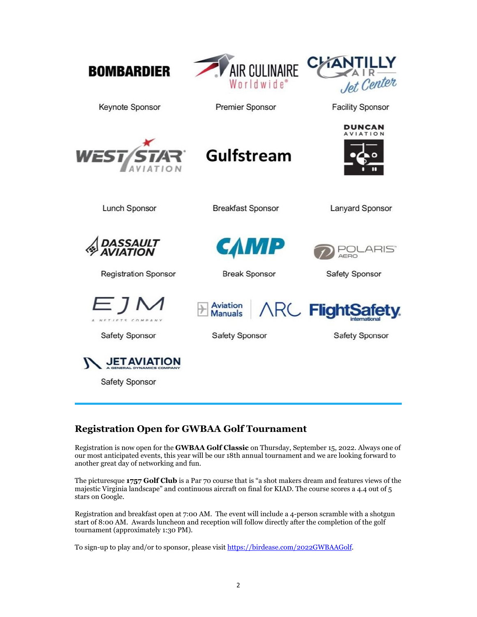| <b>BOMBARDIER</b>                         | AIR CULINAIRE<br>Worldwide®                                | Jet Center                                       |
|-------------------------------------------|------------------------------------------------------------|--------------------------------------------------|
| Keynote Sponsor                           | <b>Premier Sponsor</b>                                     | <b>Facility Sponsor</b>                          |
| WEST/START                                | <b>Gulfstream</b>                                          | DUNCAN<br><b>AVIATION</b>                        |
| <b>Lunch Sponsor</b>                      | <b>Breakfast Sponsor</b>                                   | <b>Lanyard Sponsor</b>                           |
| DASSAULT<br>AVIATION                      | САМР                                                       | _ARIS`<br>AERO                                   |
| <b>Registration Sponsor</b>               | <b>Break Sponsor</b>                                       | Safety Sponsor                                   |
| EJM<br><b>Safety Sponsor</b>              | <b>Aviation</b><br><b>Manuals</b><br><b>Safety Sponsor</b> | <b>ARC</b> FlightSafety<br><b>Safety Sponsor</b> |
| <b>JET AVIAT</b><br><b>Safety Sponsor</b> |                                                            |                                                  |

# **Registration Open for GWBAA Golf Tournament**

Registration is now open for the **GWBAA Golf Classic** on Thursday, September 15, 2022. Always one of our most anticipated events, this year will be our 18th annual tournament and we are looking forward to another great day of networking and fun.

The picturesque **1757 Golf Club** is a Par 70 course that is "a shot makers dream and features views of the majestic Virginia landscape" and continuous aircraft on final for KIAD. The course scores a 4.4 out of 5 stars on Google.

Registration and breakfast open at 7:00 AM. The event will include a 4-person scramble with a shotgun start of 8:00 AM. Awards luncheon and reception will follow directly after the completion of the golf tournament (approximately 1:30 PM).

To sign-up to play and/or to sponsor, please visit https://birdease.com/2022GWBAAGolf.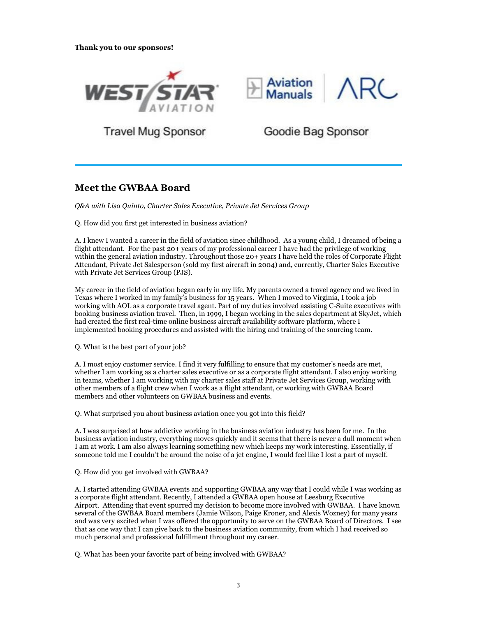



**Travel Mug Sponsor** 

Goodie Bag Sponsor

## **Meet the GWBAA Board**

*Q&A with Lisa Quinto, Charter Sales Executive, Private Jet Services Group*

Q. How did you first get interested in business aviation?

A. I knew I wanted a career in the field of aviation since childhood. As a young child, I dreamed of being a flight attendant. For the past 20+ years of my professional career I have had the privilege of working within the general aviation industry. Throughout those 20+ years I have held the roles of Corporate Flight Attendant, Private Jet Salesperson (sold my first aircraft in 2004) and, currently, Charter Sales Executive with Private Jet Services Group (PJS).

My career in the field of aviation began early in my life. My parents owned a travel agency and we lived in Texas where I worked in my family's business for 15 years. When I moved to Virginia, I took a job working with AOL as a corporate travel agent. Part of my duties involved assisting C-Suite executives with booking business aviation travel. Then, in 1999, I began working in the sales department at SkyJet, which had created the first real-time online business aircraft availability software platform, where I implemented booking procedures and assisted with the hiring and training of the sourcing team.

Q. What is the best part of your job?

A. I most enjoy customer service. I find it very fulfilling to ensure that my customer's needs are met, whether I am working as a charter sales executive or as a corporate flight attendant. I also enjoy working in teams, whether I am working with my charter sales staff at Private Jet Services Group, working with other members of a flight crew when I work as a flight attendant, or working with GWBAA Board members and other volunteers on GWBAA business and events.

Q. What surprised you about business aviation once you got into this field?

A. I was surprised at how addictive working in the business aviation industry has been for me. In the business aviation industry, everything moves quickly and it seems that there is never a dull moment when I am at work. I am also always learning something new which keeps my work interesting. Essentially, if someone told me I couldn't be around the noise of a jet engine, I would feel like I lost a part of myself.

Q. How did you get involved with GWBAA?

A. I started attending GWBAA events and supporting GWBAA any way that I could while I was working as a corporate flight attendant. Recently, I attended a GWBAA open house at Leesburg Executive Airport. Attending that event spurred my decision to become more involved with GWBAA. I have known several of the GWBAA Board members (Jamie Wilson, Paige Kroner, and Alexis Wozney) for many years and was very excited when I was offered the opportunity to serve on the GWBAA Board of Directors. I see that as one way that I can give back to the business aviation community, from which I had received so much personal and professional fulfillment throughout my career.

Q. What has been your favorite part of being involved with GWBAA?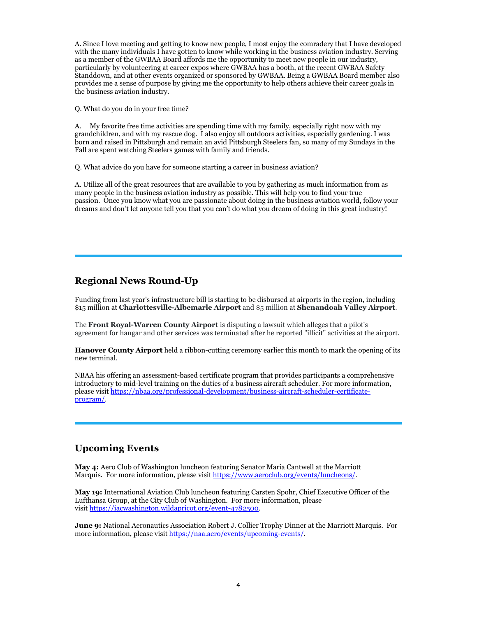A. Since I love meeting and getting to know new people, I most enjoy the comradery that I have developed with the many individuals I have gotten to know while working in the business aviation industry. Serving as a member of the GWBAA Board affords me the opportunity to meet new people in our industry, particularly by volunteering at career expos where GWBAA has a booth, at the recent GWBAA Safety Standdown, and at other events organized or sponsored by GWBAA. Being a GWBAA Board member also provides me a sense of purpose by giving me the opportunity to help others achieve their career goals in the business aviation industry.

Q. What do you do in your free time?

A. My favorite free time activities are spending time with my family, especially right now with my grandchildren, and with my rescue dog. I also enjoy all outdoors activities, especially gardening. I was born and raised in Pittsburgh and remain an avid Pittsburgh Steelers fan, so many of my Sundays in the Fall are spent watching Steelers games with family and friends.

Q. What advice do you have for someone starting a career in business aviation?

A. Utilize all of the great resources that are available to you by gathering as much information from as many people in the business aviation industry as possible. This will help you to find your true passion. Once you know what you are passionate about doing in the business aviation world, follow your dreams and don't let anyone tell you that you can't do what you dream of doing in this great industry!

## **Regional News Round-Up**

Funding from last year's infrastructure bill is starting to be disbursed at airports in the region, including \$15 million at **Charlottesville-Albemarle Airport** and \$5 million at **Shenandoah Valley Airport**.

The **Front Royal-Warren County Airport** is disputing a lawsuit which alleges that a pilot's agreement for hangar and other services was terminated after he reported "illicit" activities at the airport.

**Hanover County Airport** held a ribbon-cutting ceremony earlier this month to mark the opening of its new terminal.

NBAA his offering an assessment-based certificate program that provides participants a comprehensive introductory to mid-level training on the duties of a business aircraft scheduler. For more information, please visit https://nbaa.org/professional-development/business-aircraft-scheduler-certificateprogram/.

## **Upcoming Events**

**May 4:** Aero Club of Washington luncheon featuring Senator Maria Cantwell at the Marriott Marquis. For more information, please visit https://www.aeroclub.org/events/luncheons/.

**May 19:** International Aviation Club luncheon featuring Carsten Spohr, Chief Executive Officer of the Lufthansa Group, at the City Club of Washington. For more information, please visit https://iacwashington.wildapricot.org/event-4782500.

**June 9:** National Aeronautics Association Robert J. Collier Trophy Dinner at the Marriott Marquis. For more information, please visit https://naa.aero/events/upcoming-events/.